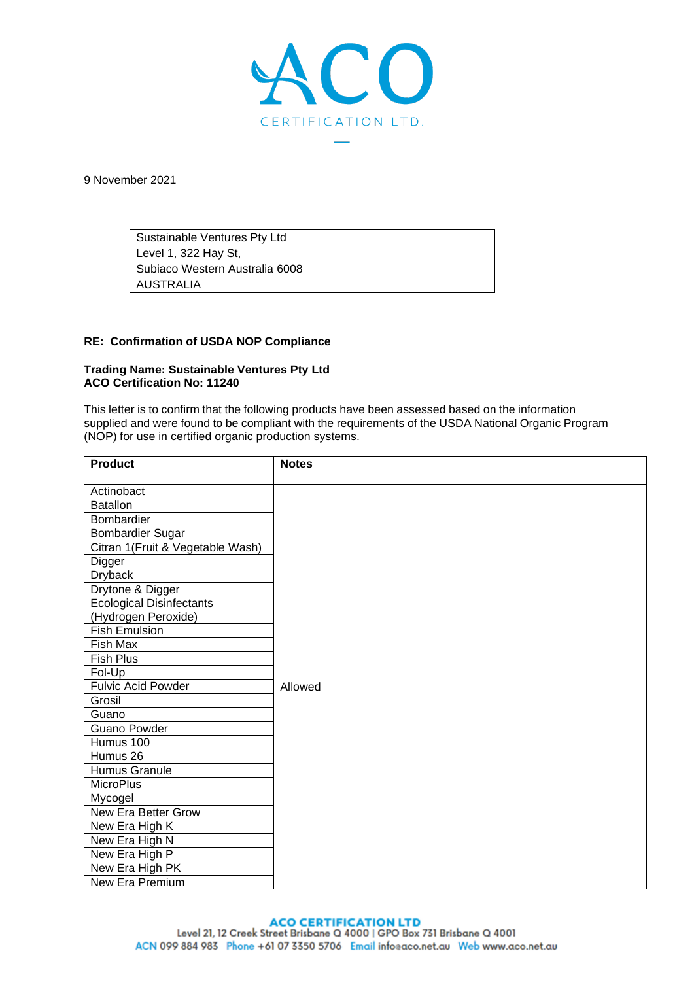

9 November 2021

Sustainable Ventures Pty Ltd Level 1, 322 Hay St, Subiaco Western Australia 6008 AUSTRALIA

## **RE: Confirmation of USDA NOP Compliance**

## **Trading Name: Sustainable Ventures Pty Ltd ACO Certification No: 11240**

This letter is to confirm that the following products have been assessed based on the information supplied and were found to be compliant with the requirements of the USDA National Organic Program (NOP) for use in certified organic production systems.

| <b>Product</b>                   | <b>Notes</b> |
|----------------------------------|--------------|
| Actinobact                       |              |
| <b>Batallon</b>                  |              |
| Bombardier                       |              |
| Bombardier Sugar                 |              |
| Citran 1(Fruit & Vegetable Wash) |              |
| <b>Digger</b>                    |              |
| <b>Dryback</b>                   |              |
| Drytone & Digger                 |              |
| <b>Ecological Disinfectants</b>  |              |
| (Hydrogen Peroxide)              |              |
| Fish Emulsion                    |              |
| Fish Max                         |              |
| Fish Plus                        |              |
| Fol-Up                           |              |
| <b>Fulvic Acid Powder</b>        | Allowed      |
| Grosil                           |              |
| Guano                            |              |
| Guano Powder                     |              |
| Humus 100                        |              |
| Humus 26                         |              |
| Humus Granule                    |              |
| <b>MicroPlus</b>                 |              |
| Mycogel                          |              |
| <b>New Era Better Grow</b>       |              |
| New Era High K                   |              |
| New Era High N                   |              |
| New Era High P                   |              |
| New Era High PK                  |              |
| New Era Premium                  |              |